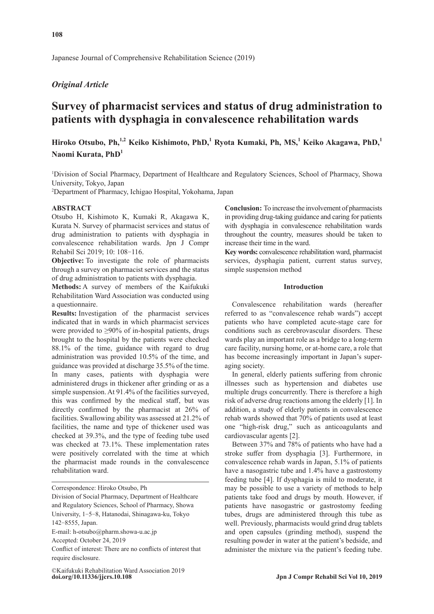Japanese Journal of Comprehensive Rehabilitation Science (2019)

# *Original Article*

# **Survey of pharmacist services and status of drug administration to patients with dysphagia in convalescence rehabilitation wards**

**Hiroko Otsubo, Ph,1,2 Keiko Kishimoto, PhD,1 Ryota Kumaki, Ph, MS,1 Keiko Akagawa, PhD,<sup>1</sup> Naomi Kurata, PhD1**

<sup>1</sup>Division of Social Pharmacy, Department of Healthcare and Regulatory Sciences, School of Pharmacy, Showa University, Tokyo, Japan

2 Department of Pharmacy, Ichigao Hospital, Yokohama, Japan

### **ABSTRACT**

Otsubo H, Kishimoto K, Kumaki R, Akagawa K, Kurata N. Survey of pharmacist services and status of drug administration to patients with dysphagia in convalescence rehabilitation wards. Jpn J Compr Rehabil Sci 2019; 10: 108‐116.

**Objective:** To investigate the role of pharmacists through a survey on pharmacist services and the status of drug administration to patients with dysphagia.

**Methods:** A survey of members of the Kaifukuki Rehabilitation Ward Association was conducted using a questionnaire.

**Results:** Investigation of the pharmacist services indicated that in wards in which pharmacist services were provided to ≥90% of in-hospital patients, drugs brought to the hospital by the patients were checked 88.1% of the time, guidance with regard to drug administration was provided 10.5% of the time, and guidance was provided at discharge 35.5% of the time. In many cases, patients with dysphagia were administered drugs in thickener after grinding or as a simple suspension. At 91.4% of the facilities surveyed, this was confirmed by the medical staff, but was directly confirmed by the pharmacist at 26% of facilities. Swallowing ability was assessed at 21.2% of facilities, the name and type of thickener used was checked at 39.3%, and the type of feeding tube used was checked at 73.1%. These implementation rates were positively correlated with the time at which the pharmacist made rounds in the convalescence rehabilitation ward.

Correspondence: Hiroko Otsubo, Ph

Division of Social Pharmacy, Department of Healthcare and Regulatory Sciences, School of Pharmacy, Showa University, 1‐5‐8, Hatanodai, Shinagawa-ku, Tokyo 142‐8555, Japan.

E-mail: h-otsubo@pharm.showa-u.ac.jp

Conflict of interest: There are no conflicts of interest that require disclosure.

**Conclusion:** To increase the involvement of pharmacists in providing drug-taking guidance and caring for patients with dysphagia in convalescence rehabilitation wards throughout the country, measures should be taken to increase their time in the ward.

**Key words:** convalescence rehabilitation ward, pharmacist services, dysphagia patient, current status survey, simple suspension method

# **Introduction**

Convalescence rehabilitation wards (hereafter referred to as "convalescence rehab wards") accept patients who have completed acute-stage care for conditions such as cerebrovascular disorders. These wards play an important role as a bridge to a long-term care facility, nursing home, or at-home care, a role that has become increasingly important in Japan's superaging society.

In general, elderly patients suffering from chronic illnesses such as hypertension and diabetes use multiple drugs concurrently. There is therefore a high risk of adverse drug reactions among the elderly [1]. In addition, a study of elderly patients in convalescence rehab wards showed that 70% of patients used at least one "high-risk drug," such as anticoagulants and cardiovascular agents [2].

Between 37% and 78% of patients who have had a stroke suffer from dysphagia [3]. Furthermore, in convalescence rehab wards in Japan, 5.1% of patients have a nasogastric tube and 1.4% have a gastrostomy feeding tube [4]. If dysphagia is mild to moderate, it may be possible to use a variety of methods to help patients take food and drugs by mouth. However, if patients have nasogastric or gastrostomy feeding tubes, drugs are administered through this tube as well. Previously, pharmacists would grind drug tablets and open capsules (grinding method), suspend the resulting powder in water at the patient's bedside, and administer the mixture via the patient's feeding tube.

Accepted: October 24, 2019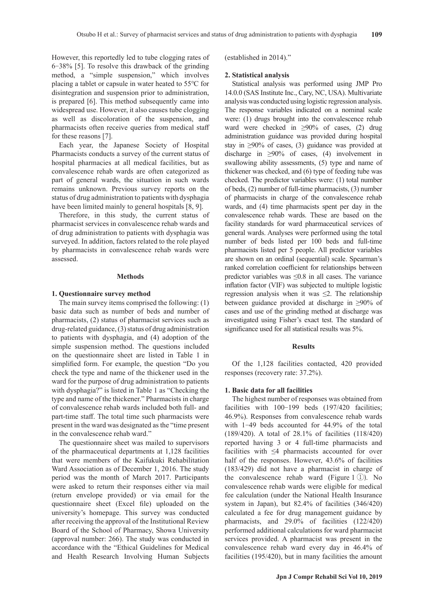However, this reportedly led to tube clogging rates of 6‐38% [5]. To resolve this drawback of the grinding method, a "simple suspension," which involves placing a tablet or capsule in water heated to 55℃ for disintegration and suspension prior to administration, is prepared [6]. This method subsequently came into widespread use. However, it also causes tube clogging as well as discoloration of the suspension, and pharmacists often receive queries from medical staff for these reasons [7].

Each year, the Japanese Society of Hospital Pharmacists conducts a survey of the current status of hospital pharmacies at all medical facilities, but as convalescence rehab wards are often categorized as part of general wards, the situation in such wards remains unknown. Previous survey reports on the status of drug administration to patients with dysphagia have been limited mainly to general hospitals [8, 9].

Therefore, in this study, the current status of pharmacist services in convalescence rehab wards and of drug administration to patients with dysphagia was surveyed. In addition, factors related to the role played by pharmacists in convalescence rehab wards were assessed.

### **Methods**

### **1. Questionnaire survey method**

The main survey items comprised the following: (1) basic data such as number of beds and number of pharmacists, (2) status of pharmacist services such as drug-related guidance, (3) status of drug administration to patients with dysphagia, and (4) adoption of the simple suspension method. The questions included on the questionnaire sheet are listed in Table 1 in simplified form. For example, the question "Do you check the type and name of the thickener used in the ward for the purpose of drug administration to patients with dysphagia?" is listed in Table 1 as "Checking the type and name of the thickener." Pharmacists in charge of convalescence rehab wards included both full- and part-time staff. The total time such pharmacists were present in the ward was designated as the "time present in the convalescence rehab ward."

The questionnaire sheet was mailed to supervisors of the pharmaceutical departments at 1,128 facilities that were members of the Kaifukuki Rehabilitation Ward Association as of December 1, 2016. The study period was the month of March 2017. Participants were asked to return their responses either via mail (return envelope provided) or via email for the questionnaire sheet (Excel file) uploaded on the university's homepage. This survey was conducted after receiving the approval of the Institutional Review Board of the School of Pharmacy, Showa University (approval number: 266). The study was conducted in accordance with the "Ethical Guidelines for Medical and Health Research Involving Human Subjects (established in 2014)."

### **2. Statistical analysis**

Statistical analysis was performed using JMP Pro 14.0.0 (SAS Institute Inc., Cary, NC, USA). Multivariate analysis was conducted using logistic regression analysis. The response variables indicated on a nominal scale were: (1) drugs brought into the convalescence rehab ward were checked in ≥90% of cases, (2) drug administration guidance was provided during hospital stay in ≥90% of cases, (3) guidance was provided at discharge in ≥90% of cases, (4) involvement in swallowing ability assessments, (5) type and name of thickener was checked, and (6) type of feeding tube was checked. The predictor variables were: (1) total number of beds, (2) number of full-time pharmacists, (3) number of pharmacists in charge of the convalescence rehab wards, and (4) time pharmacists spent per day in the convalescence rehab wards. These are based on the facility standards for ward pharmaceutical services of general wards. Analyses were performed using the total number of beds listed per 100 beds and full-time pharmacists listed per 5 people. All predictor variables are shown on an ordinal (sequential) scale. Spearman's ranked correlation coefficient for relationships between predictor variables was ≤0.8 in all cases. The variance inflation factor (VIF) was subjected to multiple logistic regression analysis when it was  $\leq$ 2. The relationship between guidance provided at discharge in ≥90% of cases and use of the grinding method at discharge was investigated using Fisher's exact test. The standard of significance used for all statistical results was 5%.

### **Results**

Of the 1,128 facilities contacted, 420 provided responses (recovery rate: 37.2%).

### **1. Basic data for all facilities**

The highest number of responses was obtained from facilities with 100-199 beds (197/420 facilities; 46.9%). Responses from convalescence rehab wards with 1-49 beds accounted for 44.9% of the total (189/420). A total of 28.1% of facilities (118/420) reported having 3 or 4 full-time pharmacists and facilities with ≤4 pharmacists accounted for over half of the responses. However, 43.6% of facilities (183/429) did not have a pharmacist in charge of the convalescence rehab ward (Figure 1 ①). No convalescence rehab wards were eligible for medical fee calculation (under the National Health Insurance system in Japan), but 82.4% of facilities (346/420) calculated a fee for drug management guidance by pharmacists, and 29.0% of facilities (122/420) performed additional calculations for ward pharmacist services provided. A pharmacist was present in the convalescence rehab ward every day in 46.4% of facilities (195/420), but in many facilities the amount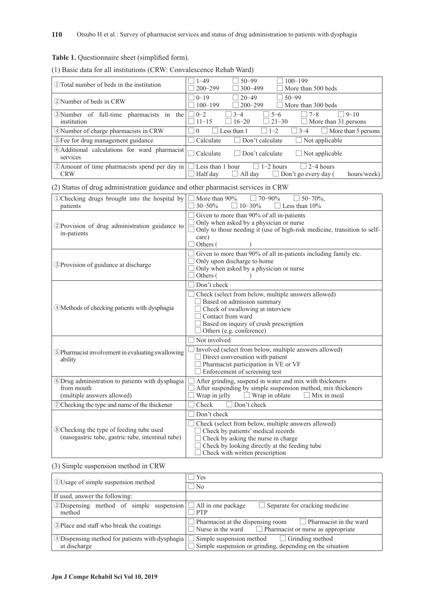# **Table 1.** Questionnaire sheet (simplified form).

| (1) Basic data for all institutions (CRW: Convalescence Rehab Ward) |  |  |
|---------------------------------------------------------------------|--|--|
|---------------------------------------------------------------------|--|--|

| $(1)$ Total number of beds in the institution                 | $50 - 99$<br>$100 - 199$<br>$1 - 49$<br>$200 - 299$<br>More than 500 beds<br>$300 - 499$                                             |
|---------------------------------------------------------------|--------------------------------------------------------------------------------------------------------------------------------------|
| (2) Number of beds in CRW                                     | $20 - 49$<br>$ 0-19$<br>$50 - 99$<br>$100 - 199$<br>$\sqrt{200-299}$<br>More than 300 beds                                           |
| (3) Number of full-time pharmacists in<br>the<br>institution  | $\Box$ 0-2<br>$5 - 6$<br>$ 3-4 $<br>$\top$ 7-8<br>$9 - 10$<br>$\Box$ 16–20<br>$\Box$ 21-30<br>$11-15$<br>$\Box$ More than 31 persons |
| 4) Number of charge pharmacists in CRW                        | More than 5 persons<br>Less than 1<br>$\Box$ 1-2<br>$3 - 4$<br>$\overline{0}$                                                        |
| (5) Fee for drug management guidance                          | Not applicable<br>Calculate<br>Don't calculate                                                                                       |
| 6) Additional calculations for ward pharmacist<br>services    | Don't calculate<br>Calculate<br>$\Box$ Not applicable<br>H                                                                           |
| (7) Amount of time pharmacists spend per day in<br><b>CRW</b> | $\Box$ 2–4 hours<br>$1-2$ hours<br>Less than 1 hour<br>Half day<br>All day<br>$\Box$<br>Don't go every day (<br>hours/week)          |

(2) Status of drug administration guidance and other pharmacist services in CRW

| DChecking drugs brought into the hospital by<br>patients                                      | More than 90%<br>$70 - 90\%$<br>$50 - 70\%$ .<br>$30 - 50%$<br>Less than 10%<br>$10 - 30\%$                                                                                                                                         |
|-----------------------------------------------------------------------------------------------|-------------------------------------------------------------------------------------------------------------------------------------------------------------------------------------------------------------------------------------|
| 2) Provision of drug administration guidance to<br>in-patients                                | Given to more than 90% of all in-patients<br>Only when asked by a physician or nurse<br>Only to those needing it (use of high-risk medicine, transition to self-<br>care)<br>Others (                                               |
| 3) Provision of guidance at discharge                                                         | Given to more than 90% of all in-patients including family etc.<br>Only upon discharge to home<br>Only when asked by a physician or nurse<br>Others (                                                                               |
| 4) Methods of checking patients with dysphagia                                                | Don't check<br>Check (select from below, multiple answers allowed)<br>Based on admission summary<br>Check of swallowing at interview<br>Contact from ward<br>Based on inquiry of crush prescription<br>Others (e.g. conference)     |
| 5) Pharmacist involvement in evaluating swallowing<br>ability                                 | Not involved<br>Involved (select from below, multiple answers allowed)<br>Direct conversation with patient<br>Pharmacist participation in VE or VF<br>Enforcement of screening test                                                 |
| 6Drug administration to patients with dysphagia<br>from mouth<br>(multiple answers allowed)   | After grinding, suspend in water and mix with thickeners<br>After suspending by simple suspension method, mix thickeners<br>$\Box$ Wrap in oblate<br>Wrap in jelly<br>Mix in meal                                                   |
| O Checking the type and name of the thickener                                                 | Check<br>Don't check                                                                                                                                                                                                                |
| 8 Checking the type of feeding tube used<br>(nasogastric tube, gastric tube, intestinal tube) | Don't check<br>Check (select from below, multiple answers allowed)<br>Check by patients' medical records<br>Check by asking the nurse in charge<br>Check by looking directly at the feeding tube<br>Check with written prescription |

# (3) Simple suspension method in CRW

| (1) Usage of simple suspension method                            | Yes                                                                                                                            |
|------------------------------------------------------------------|--------------------------------------------------------------------------------------------------------------------------------|
|                                                                  | N <sub>o</sub>                                                                                                                 |
| If used, answer the following:                                   |                                                                                                                                |
| 2) Dispensing method of simple suspension $\Box$<br>method       | All in one package<br>$\Box$ Separate for cracking medicine<br><b>PTP</b>                                                      |
| (3) Place and staff who break the coatings                       | Pharmacist at the dispensing room $\Box$ Pharmacist in the ward<br>Nurse in the ward $\Box$ Pharmacist or nurse as appropriate |
| 4) Dispensing method for patients with dysphagia<br>at discharge | Simple suspension method $\Box$ Grinding method<br>Simple suspension or grinding, depending on the situation                   |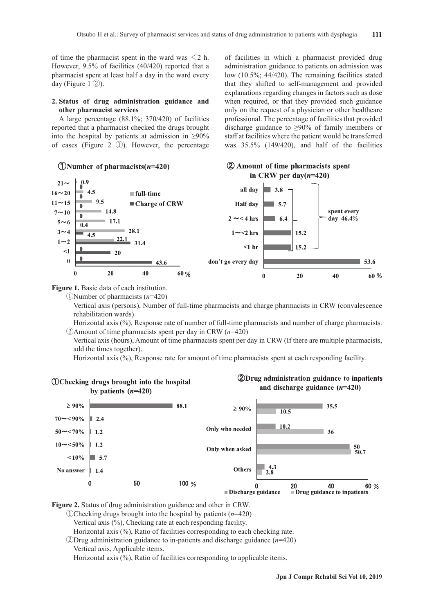of time the pharmacist spent in the ward was  $\leq 2$  h. However, 9.5% of facilities (40/420) reported that a pharmacist spent at least half a day in the ward every day (Figure 1 ②).

### **2. Status of drug administration guidance and other pharmacist services**

A large percentage (88.1%; 370/420) of facilities reported that a pharmacist checked the drugs brought into the hospital by patients at admission in  $\geq 90\%$ of cases (Figure 2 ①). However, the percentage

### (DNumber of pharmacists $(n=420)$ )

of facilities in which a pharmacist provided drug administration guidance to patients on admission was low (10.5%; 44/420). The remaining facilities stated that they shifted to self-management and provided explanations regarding changes in factors such as dose when required, or that they provided such guidance only on the request of a physician or other healthcare professional. The percentage of facilities that provided discharge guidance to ≥90% of family members or staff at facilities where the patient would be transferred was 35.5% (149/420), and half of the facilities

2 Amount of time pharmacists spent



**Figure 1.** Basic data of each institution.

①Number of pharmacists (*n*=420)

 Vertical axis (persons), Number of full-time pharmacists and charge pharmacists in CRW (convalescence rehabilitation wards).

 Horizontal axis (%), Response rate of number of full-time pharmacists and number of charge pharmacists. ②Amount of time pharmacists spent per day in CRW (*n*=420)

 Vertical axis (hours), Amount of time pharmacists spent per day in CRW (If there are multiple pharmacists, add the times together).

Horizontal axis (%), Response rate for amount of time pharmacists spent at each responding facility.



**Figure 2.** Status of drug administration guidance and other in CRW.

①Checking drugs brought into the hospital by patients (*n*=420)

Vertical axis (%), Checking rate at each responding facility.

Horizontal axis (%), Ratio of facilities corresponding to each checking rate.

②Drug administration guidance to in-patients and discharge guidance (*n*=420)

Vertical axis, Applicable items.

Horizontal axis (%), Ratio of facilities corresponding to applicable items.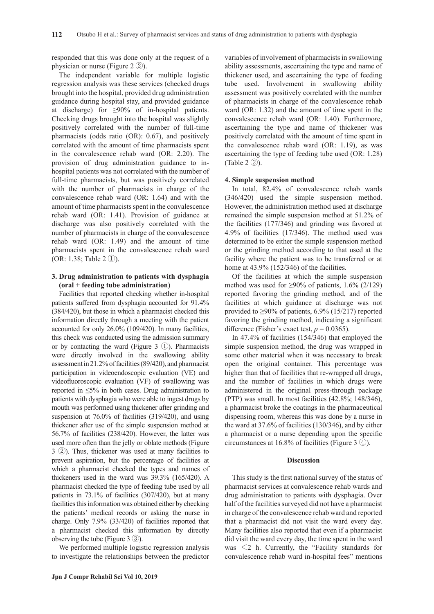responded that this was done only at the request of a physician or nurse (Figure 2 ②).

The independent variable for multiple logistic regression analysis was these services (checked drugs brought into the hospital, provided drug administration guidance during hospital stay, and provided guidance at discharge) for  $\geq 90\%$  of in-hospital patients. Checking drugs brought into the hospital was slightly positively correlated with the number of full-time pharmacists (odds ratio (OR): 0.67), and positively correlated with the amount of time pharmacists spent in the convalescence rehab ward (OR: 2.20). The provision of drug administration guidance to inhospital patients was not correlated with the number of full-time pharmacists, but was positively correlated with the number of pharmacists in charge of the convalescence rehab ward (OR: 1.64) and with the amount of time pharmacists spent in the convalescence rehab ward (OR: 1.41). Provision of guidance at discharge was also positively correlated with the number of pharmacists in charge of the convalescence rehab ward (OR: 1.49) and the amount of time pharmacists spent in the convalescence rehab ward (OR: 1.38; Table 2 ①).

# **3. Drug administration to patients with dysphagia (oral + feeding tube administration)**

Facilities that reported checking whether in-hospital patients suffered from dysphagia accounted for 91.4% (384/420), but those in which a pharmacist checked this information directly through a meeting with the patient accounted for only 26.0% (109/420). In many facilities, this check was conducted using the admission summary or by contacting the ward (Figure 3 ①). Pharmacists were directly involved in the swallowing ability assessment in 21.2% of facilities (89/420), and pharmacist participation in videoendoscopic evaluation (VE) and videofluoroscopic evaluation (VF) of swallowing was reported in ≤5% in both cases. Drug administration to patients with dysphagia who were able to ingest drugs by mouth was performed using thickener after grinding and suspension at 76.0% of facilities (319/420), and using thickener after use of the simple suspension method at 56.7% of facilities (238/420). However, the latter was used more often than the jelly or oblate methods (Figure 3 ②). Thus, thickener was used at many facilities to prevent aspiration, but the percentage of facilities at which a pharmacist checked the types and names of thickeners used in the ward was 39.3% (165/420). A pharmacist checked the type of feeding tube used by all patients in 73.1% of facilities (307/420), but at many facilities this information was obtained either by checking the patients' medical records or asking the nurse in charge. Only 7.9% (33/420) of facilities reported that a pharmacist checked this information by directly observing the tube (Figure 3 ③).

We performed multiple logistic regression analysis to investigate the relationships between the predictor variables of involvement of pharmacists in swallowing ability assessments, ascertaining the type and name of thickener used, and ascertaining the type of feeding tube used. Involvement in swallowing ability assessment was positively correlated with the number of pharmacists in charge of the convalescence rehab ward (OR: 1.32) and the amount of time spent in the convalescence rehab ward (OR: 1.40). Furthermore, ascertaining the type and name of thickener was positively correlated with the amount of time spent in the convalescence rehab ward (OR: 1.19), as was ascertaining the type of feeding tube used (OR: 1.28) (Table 2 ②).

# **4. Simple suspension method**

In total, 82.4% of convalescence rehab wards (346/420) used the simple suspension method. However, the administration method used at discharge remained the simple suspension method at 51.2% of the facilities (177/346) and grinding was favored at 4.9% of facilities (17/346). The method used was determined to be either the simple suspension method or the grinding method according to that used at the facility where the patient was to be transferred or at home at 43.9% (152/346) of the facilities.

Of the facilities at which the simple suspension method was used for  $\geq 90\%$  of patients, 1.6% (2/129) reported favoring the grinding method, and of the facilities at which guidance at discharge was not provided to ≥90% of patients, 6.9% (15/217) reported favoring the grinding method, indicating a significant difference (Fisher's exact test,  $p = 0.0365$ ).

In 47.4% of facilities (154/346) that employed the simple suspension method, the drug was wrapped in some other material when it was necessary to break open the original container. This percentage was higher than that of facilities that re-wrapped all drugs, and the number of facilities in which drugs were administered in the original press-through package (PTP) was small. In most facilities (42.8%; 148/346), a pharmacist broke the coatings in the pharmaceutical dispensing room, whereas this was done by a nurse in the ward at 37.6% of facilities (130/346), and by either a pharmacist or a nurse depending upon the specific circumstances at 16.8% of facilities (Figure 3 ④).

### **Discussion**

This study is the first national survey of the status of pharmacist services at convalescence rehab wards and drug administration to patients with dysphagia. Over half of the facilities surveyed did not have a pharmacist in charge of the convalescence rehab ward and reported that a pharmacist did not visit the ward every day. Many facilities also reported that even if a pharmacist did visit the ward every day, the time spent in the ward was  $\leq$ 2 h. Currently, the "Facility standards for convalescence rehab ward in-hospital fees" mentions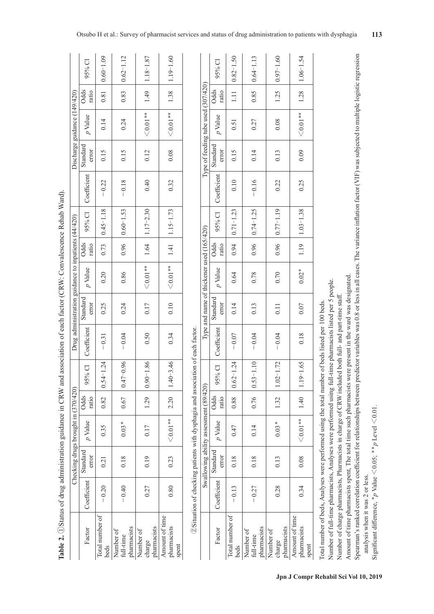| Table 2. 1 Status of drug administration guidance in CRW and association of each factor (CRW: Convalescence Rehab Ward). |                                                                                  |                   |                                        |                      |               |             |                   |                                                     |                      |                    |             |                                     |                              |               |               |
|--------------------------------------------------------------------------------------------------------------------------|----------------------------------------------------------------------------------|-------------------|----------------------------------------|----------------------|---------------|-------------|-------------------|-----------------------------------------------------|----------------------|--------------------|-------------|-------------------------------------|------------------------------|---------------|---------------|
|                                                                                                                          |                                                                                  |                   | Checking drugs brought in (370/420)    |                      |               |             |                   | Drug administration guidance to inpatients (44/420) |                      |                    |             |                                     | Discharge guidance (149/420) |               |               |
| Factor                                                                                                                   | Coefficient                                                                      | Standard<br>error | $p$ Value                              | <b>Odds</b><br>ratio | 95% Cl        | Coefficient | Standard<br>error | $p$ Value                                           | <b>Odds</b><br>ratio | 95% CI             | Coefficient | Standard<br>error                   | $p$ Value                    | Odds<br>ratio | 95% CI        |
| Total number of<br>beds                                                                                                  | $-0.20$                                                                          | 0.21              | 0.35                                   | 0.82                 | $0.54 - 1.24$ | $-0.31$     | 0.25              | 0.20                                                | 0.73                 | $0.45 - 1.18$      | $-0.22$     | 0.15                                | 0.14                         | 0.81          | $0.60 - 1.09$ |
| pharmacists<br>Number of<br>full-time                                                                                    | $-0.40$                                                                          | 0.18              | $0.03*$                                | 0.67                 | $0.47 - 0.96$ | $-0.04$     | 0.24              | 0.86                                                | 0.96                 | $ 0.60 - 1.53$     | $-0.18$     | 0.15                                | 0.24                         | 0.83          | $0.62 - 1.12$ |
| pharmacists<br>Number of<br>charge                                                                                       | 0.27                                                                             | 0.19              | 0.17                                   | 1.29                 | $0.90 - 1.86$ | 0.50        | 0.17              | $< 0.01***$                                         | 1.64                 | $1.17 - 2.30$      | 0.40        | 0.12                                | $< 0.01**$                   | 1.49          | $1.18 - 1.87$ |
| Amount of time<br>pharmacists<br>spent                                                                                   | 0.80                                                                             | 0.23              | $< 0.01**$                             | 2.20                 | $1.40 - 3.46$ | 0.34        | 0.10              | $< 0.01**$                                          |                      | $1.41$   1.15-1.73 | 0.32        | 0.08                                | $< 0.01**$                   | 1.38          | $1.19 - 1.60$ |
|                                                                                                                          | 2) Situation of checking patients with dysphagia and association of each factor. |                   |                                        |                      |               |             |                   |                                                     |                      |                    |             |                                     |                              |               |               |
|                                                                                                                          |                                                                                  |                   | Swallowing ability assessment (89/420) |                      |               |             |                   | Type and name of thickener used (165/420)           |                      |                    |             | Type of feeding tube used (307/420) |                              |               |               |
| Factor                                                                                                                   | Coefficient                                                                      | Standard<br>error | $p$ Value                              | <b>Odds</b><br>ratio | 95% CI        | Coefficient | Standard<br>error | $p$ Value                                           | Odds<br>ratio        | 95% CI             | Coefficient | Standard<br>error                   | $p$ Value                    | Odds<br>ratio | 95% CI        |
| Total number of<br>beds                                                                                                  | $-0.13$                                                                          | 0.18              | 0.47                                   | 0.88                 | $0.62 - 1.24$ | $-0.07$     | 0.14              | 0.64                                                | 0.94                 | $0.71 - 1.23$      | 0.10        | 0.15                                | 0.51                         | $\Xi$         | $0.82 - 1.50$ |
| pharmacists<br>Number of<br>full-time                                                                                    | $-0.27$                                                                          | 0.18              | 0.14                                   | 0.76                 | $0.53 - 1.10$ | $-0.04$     | 0.13              | 0.78                                                | 0.96                 | $ 0.74 - 1.25$     | $-0.16$     | 0.14                                | 0.27                         | 0.85          | $0.64 - 1.13$ |
| Number of                                                                                                                |                                                                                  |                   |                                        |                      |               |             |                   |                                                     |                      |                    |             |                                     |                              |               |               |

Total number of beds, Analyses were performed using the total number of beds listed per 100 beds. Total number of beds, Analyses were performed using the total number of beds listed per 100 beds.

Number of full-time pharmacists, Analyses were performed using full-time pharmacists listed per 5 people. Number of full-time pharmacists, Analyses were performed using full-time pharmacists listed per 5 people.

Number of charge pharmacists, Pharmacists in charge of CRW included both full- and part-time staff. Number of charge pharmacists, Pharmacists in charge of CRW included both full- and part-time staff.

Amount of time pharmacists spent, The total time such pharmacists were present in the ward was designated. Amount of time pharmacists spent, The total time such pharmacists were present in the ward was designated.

Spearman's ranked correlation coefficient for relationships between predictor variables was 0.8 or less in all cases. The variance inflation factor (VIF) was subjected to multiple logistic regression pearman's ranked correlation coefficient for relationships between predictor variables was 0.8 or less in all cases. The variance inflation factor (VIF) was subjected to multiple logistic regression

analysis when it was 2 or less. analysis when it was 2 or less.

Significant difference, \*p Value  $\leq$  0.05; \*\*p Level  $\leq$  0.01 Significant difference,  $*_{p}$  Value  $\leq 0.05$ ;  $*_{p}$  Level  $\leq 0.01$ .

Number of charge<br>pharmacists pharmacists

Amount of time pharmacists spent

Amount of time pharmacists

0.28 | 0.13 | 0.13 | 1.32 | 1.32 | 1.02―1.72 | 0.04 | 0.11 | 0.1 | 0.96 | 0.76 | 0.72 | 0.22 | 0.22 | 0.13 | 0.13 | 0.13 | 0.08 | 0.08 | 0.08 | 0.08 | 0.08 | 0.08 | 0.08 | 0.08 | 0.07 | 1.25 | 0.08 | 0.08 | 0.08 | 0.08 |

 $0.70\,$ 

 $0.11$ 

 $-0.04$ 

 $1.02 - 1.72$ 

1.32

 $0.03*$ 

 $0.13$ 

0.28

 $0.97 - 1.60$ 

1.25

 $0.08\,$ 

 $0.13$ 

0.22

 $0.77 - 1.19$ 

0.96

 $1.06 - 1.54$ 

1.28

 $< 0.01***$ 

 $0.09$ 

0.25

 $1.03 - 1.38$ 

1.19

0.34 | 2.08 | 2.08 | 2.01\* | 2.01 | 2.01 | 2.01 | 2.01 | 2.01 | 2.01 | 2.01 | 2.01 | 2.01 | 2.01 | 2.01 | 2.01<br>0.08 | 2.04 | 2.01\* | 2.01 | 2.01 | 2.01 | 2.01 | 2.01 | 2.01 | 2.01 | 2.01 | 2.01 | 2.01 | 2.02 | 2.02 | 2.0

 $0.02*$ 

 $0.07$ 

0.18

 $1.19 - 1.65$ 

 $1.40$ 

 $< 0.01**$ 

 $0.08$ 

0.34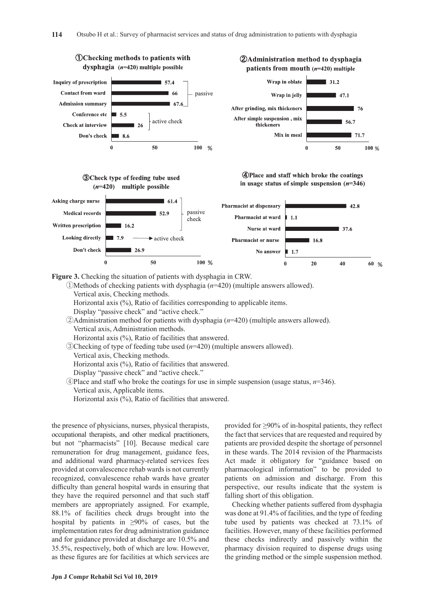

**Figure 3.** Checking the situation of patients with dysphagia in CRW.

 ①Methods of checking patients with dysphagia (*n*=420) (multiple answers allowed). Vertical axis, Checking methods. Horizontal axis (%), Ratio of facilities corresponding to applicable items. Display "passive check" and "active check." ②Administration method for patients with dysphagia (*n*=420) (multiple answers allowed). Vertical axis, Administration methods. Horizontal axis (%), Ratio of facilities that answered.

 ③Checking of type of feeding tube used (*n*=420) (multiple answers allowed). Vertical axis, Checking methods. Horizontal axis (%), Ratio of facilities that answered.

Display "passive check" and "active check."

 $\Phi$ Place and staff who broke the coatings for use in simple suspension (usage status,  $n=346$ ). Vertical axis, Applicable items.

Horizontal axis (%), Ratio of facilities that answered.

the presence of physicians, nurses, physical therapists, occupational therapists, and other medical practitioners, but not "pharmacists" [10]. Because medical care remuneration for drug management, guidance fees, and additional ward pharmacy-related services fees provided at convalescence rehab wards is not currently recognized, convalescence rehab wards have greater difficulty than general hospital wards in ensuring that they have the required personnel and that such staff members are appropriately assigned. For example, 88.1% of facilities check drugs brought into the hospital by patients in  $\geq 90\%$  of cases, but the implementation rates for drug administration guidance and for guidance provided at discharge are 10.5% and 35.5%, respectively, both of which are low. However, as these figures are for facilities at which services are provided for ≥90% of in-hospital patients, they reflect the fact that services that are requested and required by patients are provided despite the shortage of personnel in these wards. The 2014 revision of the Pharmacists Act made it obligatory for "guidance based on pharmacological information" to be provided to patients on admission and discharge. From this perspective, our results indicate that the system is falling short of this obligation.

Checking whether patients suffered from dysphagia was done at 91.4% of facilities, and the type of feeding tube used by patients was checked at 73.1% of facilities. However, many of these facilities performed these checks indirectly and passively within the pharmacy division required to dispense drugs using the grinding method or the simple suspension method.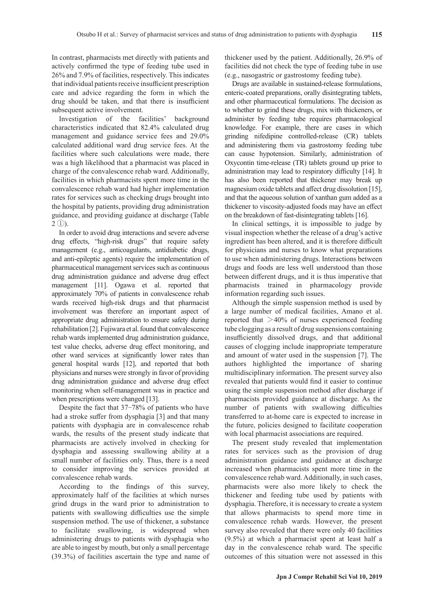In contrast, pharmacists met directly with patients and actively confirmed the type of feeding tube used in 26% and 7.9% of facilities, respectively. This indicates that individual patients receive insufficient prescription care and advice regarding the form in which the drug should be taken, and that there is insufficient subsequent active involvement.

Investigation of the facilities' background characteristics indicated that 82.4% calculated drug management and guidance service fees and 29.0% calculated additional ward drug service fees. At the facilities where such calculations were made, there was a high likelihood that a pharmacist was placed in charge of the convalescence rehab ward. Additionally, facilities in which pharmacists spent more time in the convalescence rehab ward had higher implementation rates for services such as checking drugs brought into the hospital by patients, providing drug administration guidance, and providing guidance at discharge (Table  $2 \text{ }$  $\text{ }$  $\text{ }$  $\text{ }$  $\text{ }$  $\text{ }$  $\text{ }$  $\text{ }$ 

In order to avoid drug interactions and severe adverse drug effects, "high-risk drugs" that require safety management (e.g., anticoagulants, antidiabetic drugs, and anti-epileptic agents) require the implementation of pharmaceutical management services such as continuous drug administration guidance and adverse drug effect management [11]. Ogawa et al. reported that approximately 70% of patients in convalescence rehab wards received high-risk drugs and that pharmacist involvement was therefore an important aspect of appropriate drug administration to ensure safety during rehabilitation [2]. Fujiwara et al. found that convalescence rehab wards implemented drug administration guidance, test value checks, adverse drug effect monitoring, and other ward services at significantly lower rates than general hospital wards [12], and reported that both physicians and nurses were strongly in favor of providing drug administration guidance and adverse drug effect monitoring when self-management was in practice and when prescriptions were changed [13].

Despite the fact that 37‐78% of patients who have had a stroke suffer from dysphagia [3] and that many patients with dysphagia are in convalescence rehab wards, the results of the present study indicate that pharmacists are actively involved in checking for dysphagia and assessing swallowing ability at a small number of facilities only. Thus, there is a need to consider improving the services provided at convalescence rehab wards.

According to the findings of this survey, approximately half of the facilities at which nurses grind drugs in the ward prior to administration to patients with swallowing difficulties use the simple suspension method. The use of thickener, a substance to facilitate swallowing, is widespread when administering drugs to patients with dysphagia who are able to ingest by mouth, but only a small percentage (39.3%) of facilities ascertain the type and name of thickener used by the patient. Additionally, 26.9% of facilities did not check the type of feeding tube in use (e.g., nasogastric or gastrostomy feeding tube).

Drugs are available in sustained-release formulations, enteric-coated preparations, orally disintegrating tablets, and other pharmaceutical formulations. The decision as to whether to grind these drugs, mix with thickeners, or administer by feeding tube requires pharmacological knowledge. For example, there are cases in which grinding nifedipine controlled-release (CR) tablets and administering them via gastrostomy feeding tube can cause hypotension. Similarly, administration of Oxycontin time-release (TR) tablets ground up prior to administration may lead to respiratory difficulty [14]. It has also been reported that thickener may break up magnesium oxide tablets and affect drug dissolution [15], and that the aqueous solution of xanthan gum added as a thickener to viscosity-adjusted foods may have an effect on the breakdown of fast-disintegrating tablets [16].

In clinical settings, it is impossible to judge by visual inspection whether the release of a drug's active ingredient has been altered, and it is therefore difficult for physicians and nurses to know what preparations to use when administering drugs. Interactions between drugs and foods are less well understood than those between different drugs, and it is thus imperative that pharmacists trained in pharmacology provide information regarding such issues.

Although the simple suspension method is used by a large number of medical facilities, Amano et al. reported that >40% of nurses experienced feeding tube clogging as a result of drug suspensions containing insufficiently dissolved drugs, and that additional causes of clogging include inappropriate temperature and amount of water used in the suspension [7]. The authors highlighted the importance of sharing multidisciplinary information. The present survey also revealed that patients would find it easier to continue using the simple suspension method after discharge if pharmacists provided guidance at discharge. As the number of patients with swallowing difficulties transferred to at-home care is expected to increase in the future, policies designed to facilitate cooperation with local pharmacist associations are required.

The present study revealed that implementation rates for services such as the provision of drug administration guidance and guidance at discharge increased when pharmacists spent more time in the convalescence rehab ward. Additionally, in such cases, pharmacists were also more likely to check the thickener and feeding tube used by patients with dysphagia. Therefore, it is necessary to create a system that allows pharmacists to spend more time in convalescence rehab wards. However, the present survey also revealed that there were only 40 facilities (9.5%) at which a pharmacist spent at least half a day in the convalescence rehab ward. The specific outcomes of this situation were not assessed in this